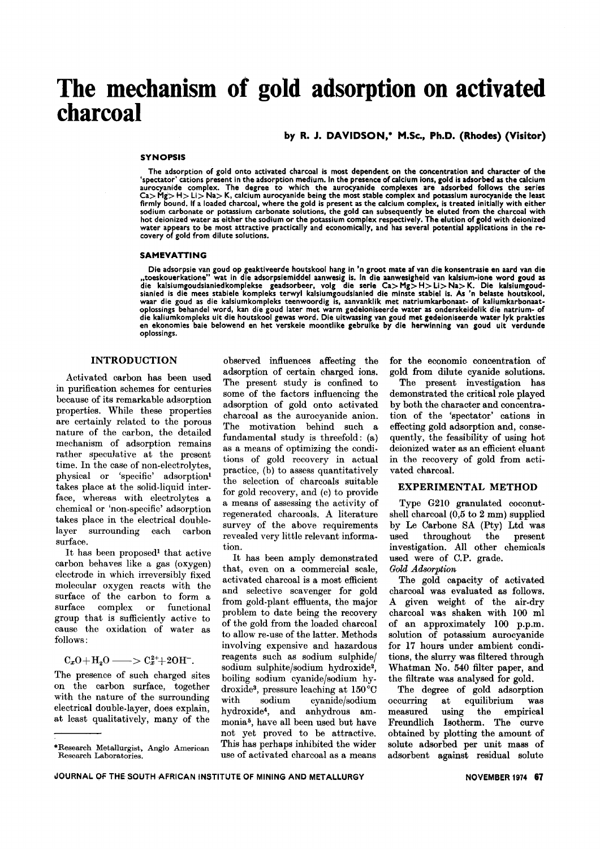# **The mechanism of gold adsorption on activated charcoal**

by R. J. DAVIDSON: M.Se., Ph.D. (Rhodes) (Visitor)

#### SYNOPSIS

The adsorption of gold onto activated charcoal is most dependent on the concentration and character of the<br>spectator' cations present in the adsorption medium. In the presence of calcium ions, gold is adsorbed as the calci aurocyanide complex. The degree to which the aurocyanide complexes are adsorbed follows the series Ca> Mg> H> Li> Na> K, calcium aurocyanide being the most stable complex and potassium aurocyanide the leasi<br>firmly bound, if a loaded charcoal, where the gold is present as the calcium complex, is treated initially with ei sodium carbonate or potassium carbonate solutions, the gold can subsequently be eluted from the charcoal with hot deionized water as either the sodium or the potassium complex respectively. The elution of gold with deionizeo<br>water appears to be most attractive practically and economically, and has several potential applications in covery of gold from dilute solutions.

#### SAMEVATTING

Die adsorpsie van goud op geaktiveerde houtskool hang in 'n groot mate af van die konsentrasie en aard van die<br>"toeskouerkatione" wat in die adsorpsiemiddel aanwesig is. In die aanwesigheid van kalsium-ione word goud as<br>d die kaliumkompleks uit die houtskool gewas word. Die uitwassing van goud met gedeioniseerde water lyk praktie<br>en ekonomies baie belowend en het verskeie moontlike gebruike by die herwinning van goud uit verdund oplossings.

## INTRODUCTION

Activated carbon has been used in purification schemes for centuries because of its remarkable adsorption properties. While these properties are certainly related to the porous nature of the carbon, the detailed mechanism of adsorption remains rather speculative at the present time. In the case of non-electrolytes, physical or 'specific' adsorption<sup>1</sup> takes place at the solid-liquid interface, whereas with electrolytes a chemical or 'non-specific' adsorption takes place in the electrical doublelayer surrounding each carbon surface.

It has been proposed<sup>1</sup> that active carbon behaves like a gas (oxygen) electrode in which irreversibly fixed molecular oxygen reacts with the surface of the carbon to form a surface complex or functional group that is sufficiently active to cause the oxidation of water as follows:

$$
C_xO + H_2O \longrightarrow C_x^{2+} + 2OH^-.
$$

The presence of such charged sites on the carbon surface, together with the nature of the surrounding electrical double-layer, does explain, at least qualitatively, many of the

observed influences affecting the adsorption of certain charged ions. The present study is confined to some of the factors influencing the adsorption of gold onto activated charcoal as the aurocyanide anion. The motivation behind such a fundamental study is threefold: (a) as a means of optimizing the conditions of gold recovery in actual practice, (b) to assess quantitatively the selection of charcoals suitable for gold recovery, and (c) to provide a means of assessing the activity of regenerated charcoals. A literature survey of the above requirements revealed very little relevant information.

It has been amply demonstrated that, even on a commercial scale, activated charcoal is a most efficient and selective scavenger for gold from gold-plant effluents, the major problem to date being the recovery of the gold from the loaded charcoal to allow re-use of the latter. Methods involving expensive and hazardous reagents such as sodium sulphide/ sodium sulphite/sodium hydroxide2, boiling sodium cyanide/sodium hydroxide3, pressure leaching at 150°C with sodium cyanide/sodium hydroxide4, and anhydrous ammonia5, have all been used but have not yet proved to be attractive. This has perhaps inhibited the wider use of activated charcoal as a means

for the economic concentration of gold from dilute cyanide solutions.

The present investigation has demonstrated the critical role played by both the character and concentration of the 'spectator' cations in effecting gold adsorption and, consequently, the feasibility of using hot deionized water as an efficient eluant in the recovery of gold from activated charcoal.

#### EXPERIMENTAL METHOD

Type G21O granulated coconutshell charcoal (0,5 to 2 mm) supplied by Le Carbone SA (Pty) Ltd was used throughout the present investigation. All other chemicals used were of C.P. grade. *Gold Adsorption*

The gold capacity of activated charcoal was evaluated as follows. A given weight of the air-dry charcoal was shaken with 100 ml of an approximately 100 p.p.m. solution of potassium aurocyanide for 17 hours under ambient conditions, the slurry was filtered through Whatman No. 540 filter paper, and the filtrate was analysed for gold.

The degree of gold adsorption occurring at equilibrium was measured using the empirical Freundlich Isotherm. The curve obtained by plotting the amount of solute adsorbed per unit mass of adsorbent against residual solute

<sup>.</sup>Research Metallurgist, Anglo American Research Laboratories.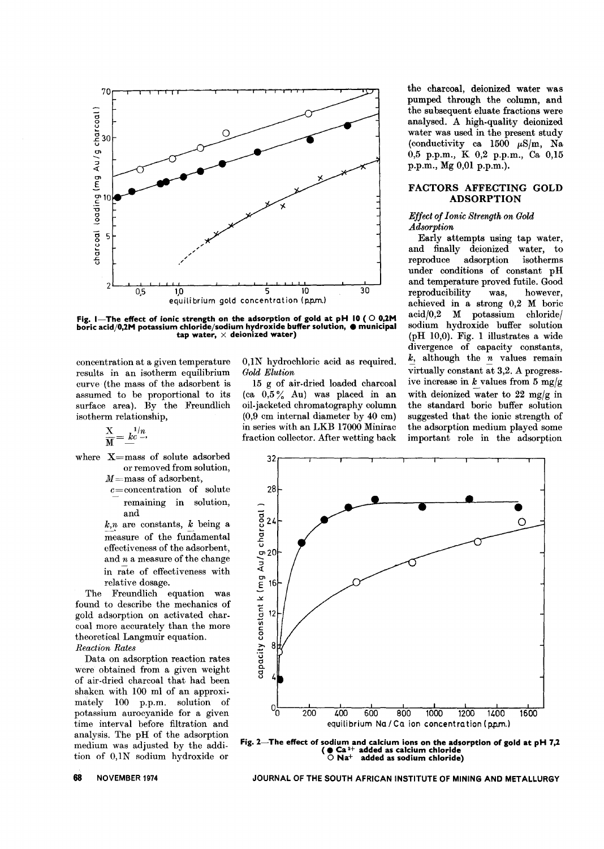

Fig. I-The effect of ionic strength on the adsorption of gold at pH 10 ( $\circ$  0,2M boric acid/0,2M potassium chloride/sodium hydroxide buffer solution, @ municip<br>tap water,  $\times$  deionized water)

concentration at a given temperature results in an isotherm equilibrium curve (the mass of the adsorbent is assumed to be proportional to its surface area). By the Freundlich isotherm relationship,

$$
\frac{\mathbf{X}}{\mathbf{M}} = \frac{k^{1/n}}{2}
$$

where  $X=$ mass of solute adsorbed or removed from solution,

 $M =$ mass of adsorbent,

 $c$ =concentration of solute remaining in solution, and

 $\frac{k}{m}$  are constants,  $\frac{k}{m}$  being a measure of the fundamental effectiveness of the adsorbent, and *n* a measure of the change in rate of effectiveness with relative dosage.

The Freundlich equation was found to describe the mechanics of gold adsorption on activated charcoal more accurately than the more theoretical Langmuir equation. *Reaction Rates*

Data on adsorption reaction rates were obtained from a given weight of air-dried charcoal that had been shaken with 100 ml of an approximately 100 p.p.m. solution of potassium aurocyanide for a given time interval before filtration and analysis. The pH of the adsorption medium was adjusted by the addition of 0,1N sodium hydroxide or

O,lN hydrochloric acid as required. *Gold Elution*

15 g of air-dried loaded charcoal (ca  $0.5\%$  Au) was placed in an oil-jacketed chromatography column (0,9 cm internal diameter by 40 cm) in series with an LKB 17000 Minirac fraction collector. After wetting back the charcoal, deionized water was pumped through the column, and the subsequent eluate fractions were analysed. A high-quality deionized water was used in the present study (conductivity ca 1500 *p.Sjm,* Na 0,5 p.p.m., K 0,2 p.p.m., Ca 0,15 p.p.m., Mg 0,01 p.p.m.).

## FACTORS AFFECTING GOLD ADSORPTION

## *Effect of Ionic Strength on Gold Adsorption*

Early attempts using tap water, and finally deionized water, to reproduce adsorption isotherms under conditions of constant pH and temperature proved futile. Good reproducibility was, however, achieved in a strong 0,2 M boric acid/0,2 M potassium chloride/ sodium hydroxide buffer solution (pH 10,0). Fig. 1 illustrates a wide divergence of capacity constants,  $\frac{k}{2}$ , although the  $\frac{n}{2}$  values remain virtually constant at  $3,2$ . A progressive increase in  $k$  values from 5 mg/g with deionized water to 22 mg/g in the standard boric buffer solution suggested that the ionic strength of the adsorption medium played some important role in the adsorption



Fig. 2-The effect of sodium and calcium ions on the adsorption of gold at pH 7,2  $\bullet$  Ca  $^{2+}$  added as calcium chloride<br> $\circ$  Na+  $\,$  added as sodium chloride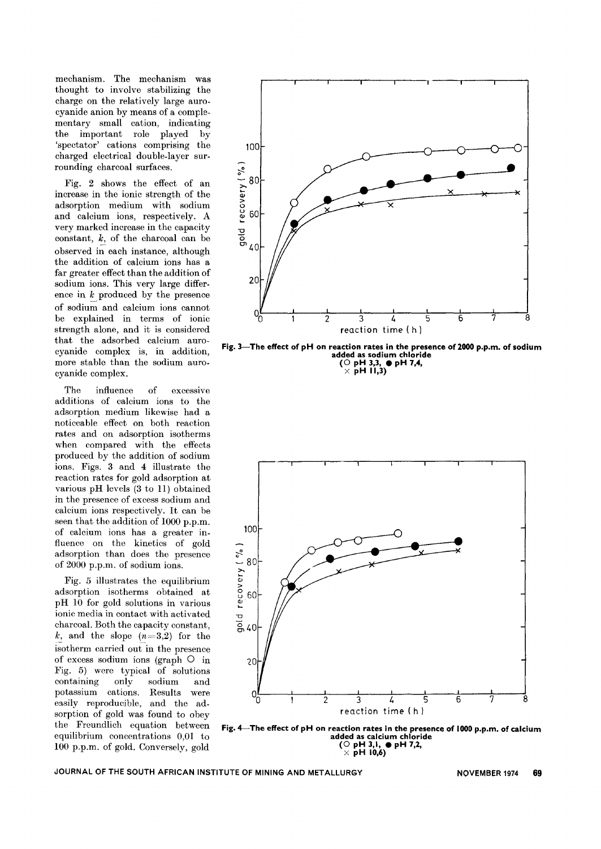mechanism. The mechanism was thought to involve stabilizing the charge on the relatively large aurocyanide anion by means of a complementary small cation, indicating the important role played by 'spectator' cations comprising the charged electrical double-layer surrounding charcoal surfaces.

Fig. 2 shows the effect of an increase in the ionic strength of the adsorption medium with sodium and calcium ions, respectively. A very marked increase in the capacity constant, *k,* of the charcoal can be observed in each instance, although the addition of calcium ions has a far greater effect than the addition of sodium ions. This very large differ- $\frac{1}{2}$  ence in  $\frac{k}{2}$  produced by the presence of sodium and calcium ions cannot be explained in terms of ionic strength alone, and it is considered that the adsorbed calcium aurocyanide complex is, in addition, more stable than the sodium aurocyanide complex.

The influence of excessive additions of calcium ions to the adsorption medium likewise had a noticeable effect on both reaction rates and on adsorption isotherms when compared with the effects produced by the addition of sodium ions. Figs. 3 and 4 illustrate the reaction rates for gold adsorption at various pH levels (3 to 11) obtained in the presence of excess sodium and calcium ions respectively. It can be seen that the addition of 1000 p.p.m. of calcium ions has a greater influence on the kinetics of gold adsorption than does the presence of 2000 p.p.m. of sodium ions.

Fig. 5 illustrates the equilibrium adsorption isotherms obtained at pH 10 for gold solutions in various ionic media in contact with activated charcoal. Both the capacity constant, *k*, and the slope  $(n=3,2)$  for the isotherm carried out in the presence of excess sodium ions (graph  $\circ$  in Fig. 5) were typical of solutions containing only sodium and potassium cations. Results were easily reproducible, and the adsorption of gold was found to obey the Freundlich equation between equilibrium concentrations 0,01 to 100 p.p.m. of gold. Conversely, gold



Fig. 3-The effect of pH on reaction rates in the presence of 2000 p.p.m. of sodium added as sodium chloride  $(O pH 3,3, ① pH 7,4,$  $\times$  pH 11,3)



Fig. 4-The effect of pH on reaction rates in the presence of 1000 p.p.m. of calcium added as calcium chloride  $(O$  pH 3,1,  $\rho$  pH 7,2,  $\times$  pH 10,6)  $^{-}$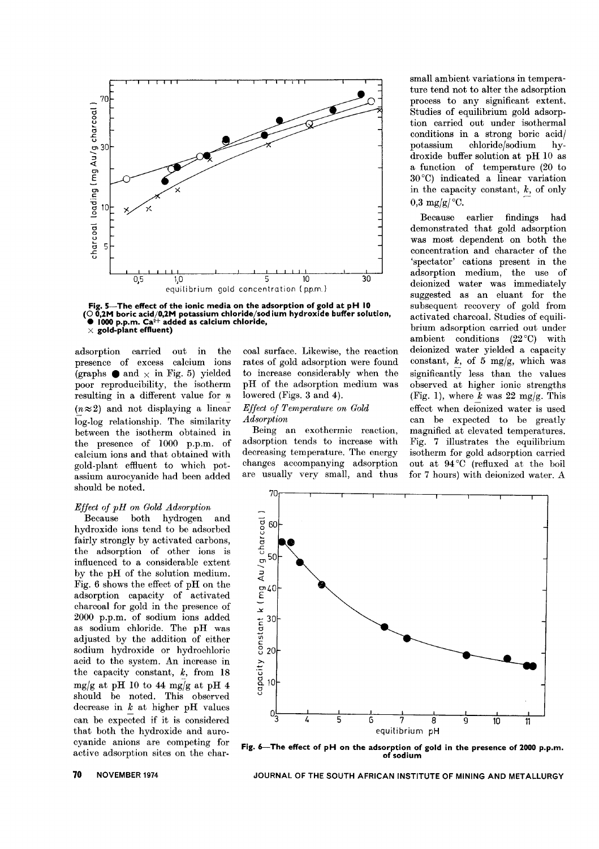

Fig. 5—The effect of the ionic media on the adsorption of gold at pH 10<br>(○ 0,2M boric acid/0,2M potassium chloride/sod ium hydroxide buffer solutio<br>● 1000 p.p.m. Ca2+ added as calcium chloride,  $\times$  gold-plant effluent)

adsorption carried out in the presence of excess calcium ions (graphs. and  $\times$  in Fig. 5) yielded poor reproducibility, the isotherm resulting in a different value for  $n$  $(n \approx 2)$  and not displaying a linear log-log relationship. The similarity between the isotherm obtained in the presence of 1000 p.p.m. of calcium ions and that obtained with gold-plant effluent to which potassium aurocyanide had been added should be noted.

## *Effect of pH on Gold Adsorption*

both hydrogen and hydroxide ions tend to be adsorbed fairly strongly by activated carbons, the adsorption of other ions is influenced to a considerable extent by the pH of the solution medium. Fig. 6 shows the effect of pH on the adsorption capacity of activated charcoal for gold in the presence of 2000 p.p.m. of sodium ions added as sodium chloride. The pH was adjusted by the addition of either sodium hydroxide or hydrochloric acid to the system. An increase in the capacity constant, *k,* from 18 mg/g at pH 10 to 44 mg/g at pH 4 should be noted. This observed decrease in *k* at higher pH values can be expected if it is considered that both the hydroxide and aurocyanide anions are competing for active adsorption sites on the charcoal surface. Likewise, the reaction rates of gold adsorption were found to increase considerably when the pH of the adsorption medium was lowered (Figs. 3 and 4).

## *Effect of Temperature on Gold Adsorption*

Being an exothermic reaction, adsorption tends to increase with decreasing temperature. The energy changes accompanying adsorption are usually very small, and thus small ambient variations in temperature tend not to alter the adsorption process to any significant extent. Studies of equilibrium gold adsorption carried out under isothermal conditions in a strong boric acid/ potassium chloridejsodium hydroxide buffer solution at pH 10 as a function of temperature (20 to 30°C) indicated a linear variation in the capacity constant,  $k$ , of only 0,3 mg/g/ $\mathrm{^{\circ}C}$ .

Because earlier findings had demonstrated that gold adsorption was most dependent on both the concentration and character of the 'spectator' cations present in the adsorption medium, the use of deionized water was immediately suggested as an eluant for the subsequent recovery of gold from activated charcoal. Studies of equilibrium adsorption carried out under ambient conditions  $(22^{\circ}C)$  with deionized water yielded a capacity constant,  $k$ , of 5 mg/g, which was significantly less than the values observed at higher ionic strengths (Fig. 1), where  $\bar{k}$  was 22 mg/g. This effect when deionized water is used can be expected to be greatly magnified at elevated temperatures. Fig. 7 illustrates the equilibrium isotherm for gold adsorption carried out at 94 °C (refluxed at the boil for 7 hours) with deionized water. A



Fig. 6-The effect of pH on the adsorption of gold in the presence of 2000 p.p.m. of sodium

JOURNAL OF THE SOUTH AFRICAN INSTITUTE OF MINING AND METALLURGY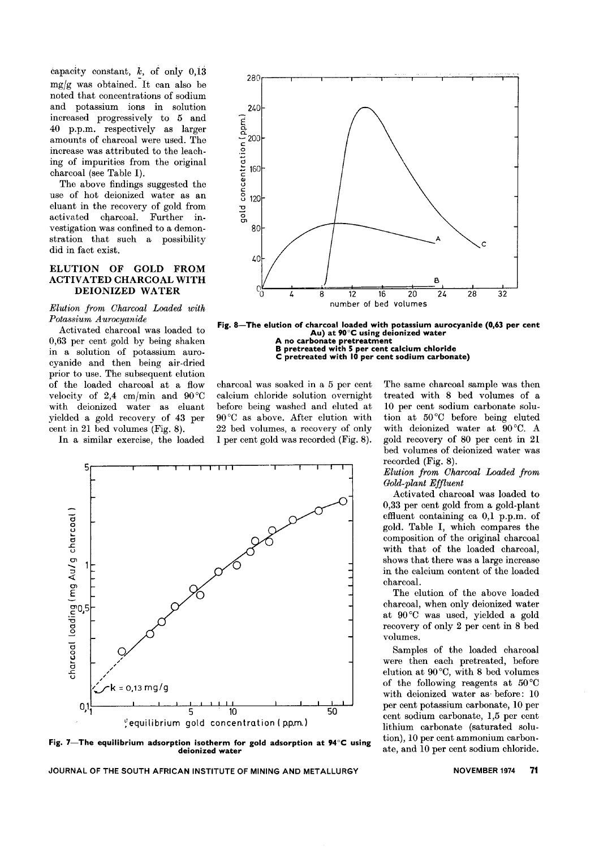capacity constant,  $k$ , of only  $0,13$ mg/g was obtained. It can also be noted that concentrations of sodium and potassium ions in solution increased progressively to 5 and 40 p.p.m. respectively as larger amounts of charcoal were used. The increase was attributed to the leaching of impurities from the original charcoal (see Table I).

The above findings suggested the use of hot deionized water as an eluant in the recovery of gold from activated charcoal. Further investigation was confined to a demonstration that such a possibility did in fact exist.

## ELUTION OF GOLD FROM ACTIVATED CHARCOAL WITH DEIONIZED WATER

## *Elution from Charcoal Loaded with Potassium A urocyanide*

Activated charcoal was loaded to 0,63 per cent gold by being shaken in a solution of potassium aurocyanide and then being air-dried prior to use. The subsequent elution of the loaded charcoal at a flow velocity of 2,4 cm/min and  $90^{\circ}$ C with deionized water as eluant yielded a gold recovery of 43 per cent in 21 bed volumes (Fig. 8).

In a similar exercise, the loaded



Fig. 8-The elution of charcoal loaded with potassium aurocyanide (0,63 per cent Au) at 90°C using deionized water A no carbonate pretreatment

B pretreated with 5 per cent calcium chloride<br>C pretreated with 10 per cent sodium carbonat

charcoal was soaked in a 5 per cent calcium chloride solution overnight before being washed and eluted at 90°C as above. After elution with 22 bed volumes, a recovery of only 1 per cent gold was recorded (Fig. 8).



Fig. 7-The equilibrium adsorption isotherm for gold adsorption at  $94^{\circ}$ C using deionized water

The same charcoal sample was then treated with 8 bed volumes of a 10 per cent sodium carbonate solution at 50°C before being eluted with deionized water at 90°C. A gold recovery of 80 per cent in 21 bed volumes of deionized water was recorded (Fig. 8).

## *Elution from Charcoal Loaded from Gold-plant Effluent*

Activated charcoal was loaded to 0,33 per cent gold from a gold-plant effluent containing ca 0,1 p.p.m. of gold. Table I, which compares the composition of the original charcoal with that of the loaded charcoal, shows that there was a large increase in the calcium content of the loaded charcoal.

The elution of the above loaded charcoal, when only deionized water at 90 °C was used, yielded a gold recovery of only 2 per cent in 8 bed volumes.

Samples of the loaded charcoal were then each pretreated, before elution at  $90^{\circ}$ C, with 8 bed volumes of the following reagents at 50 °C with deionized water as before: 10 per cent potassium carbonate, 10 per cent sodium carbonate, 1,5 per cent lithium carbonate (saturated solution), 10 per cent ammonium carbonate, and 10 per cent sodium chloride.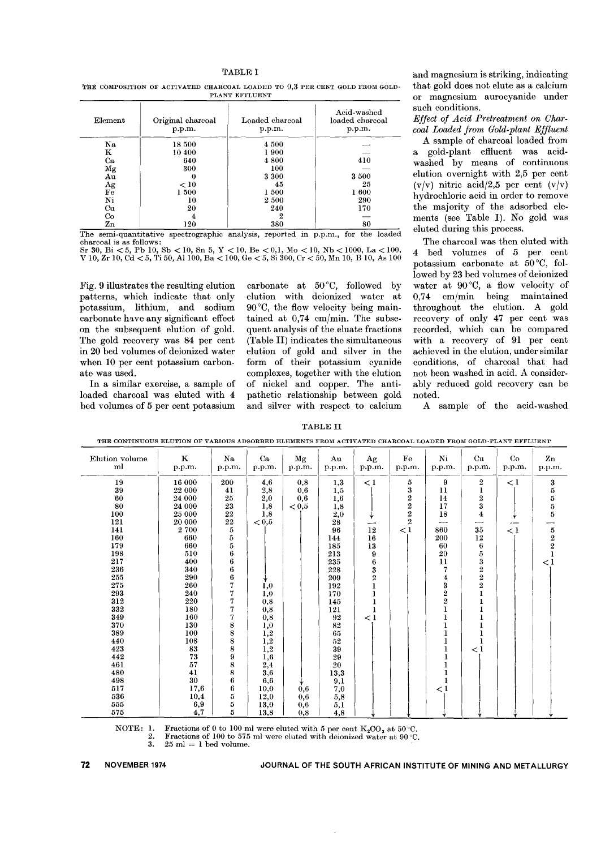#### TABLE I

THE COMPOSITION OF ACTIVATED CHARCOAL LOADED TO  $0.3$  PER CENT GOLD FROM GOLD-PLANT EFFLUENT

| Element        | Original charcoal<br>p.p.m. | Loaded charcoal<br>p.p.m. | Acid-washed<br>loaded charcoal<br>p.p.m. |  |  |
|----------------|-----------------------------|---------------------------|------------------------------------------|--|--|
| Na             | 18 500                      | 4 500                     |                                          |  |  |
| ĸ              | 10 400                      | 1900                      |                                          |  |  |
| Ca             | 640                         | 4800                      | 410                                      |  |  |
| Mg             | 300                         | 100                       |                                          |  |  |
| Au             | 0                           | 3 300                     | 3500                                     |  |  |
| Ag             | < 10                        | 45                        | 25                                       |  |  |
| Fe             | 1500                        | 1500                      | 1600                                     |  |  |
| $\mathbf{N}$ i | 10                          | 2500                      | 290                                      |  |  |
| Cu             | 20                          | 240                       | 170                                      |  |  |
| Co             | 4                           | 2                         |                                          |  |  |
| Zn             | 120                         | 380                       | 80                                       |  |  |

The semi-quantitative spectrographic analysis, reported in p.p.m., for the loaded charcoal is as follows:

Sr 30, Bi < 5, Pb 10, Sb < 10, Sn 5, Y < 10, Be < 0,1, Mo < 10, Nb < 1000, La < 100, V 10, Zr 10, Cd < 5, Ti 50, Al 100, Ba < 100, Ge < 5, Si 300, Cr < 50, Mn 10, B 10, As 100

Fig. 9 illustrates the resulting elution patterns, which indicate that only potassium, lithium, and sodium carbonate have any significant effect on the subsequent elution of gold. The gold recovery was 84 per cent in 20 bed volumes of deionized water when 10 per cent potassium carbonate was used.

In a similar exercise, a sample of loaded charcoal was eluted with 4 bed volumes of 5 per cent potassium carbonate at  $50^{\circ}$ C, followed by elution with deionized water at  $90^{\circ}$ C, the flow velocity being maintained at 0,74 cm/min. The subsequent analysis of the eluate fractions (Table II) indicates the simultaneous elution of gold and silver in the form of their potassium cyanide complexes, together with the elution of nickel and copper. The antipathetic relationship between gold and silver with respect to calcium and magnesium is striking, indicating that gold does not elute as a calcium or magnesium aurocyanide under such conditions.

Effect of Acid Pretreatment on Charcoal Loaded from Gold-plant Effluent

A sample of charcoal loaded from a gold-plant effluent was acidwashed by means of continuous elution overnight with 2,5 per cent  $(v/v)$  nitric acid/2,5 per cent  $(v/v)$ hydrochloric acid in order to remove the majority of the adsorbed elements (see Table I). No gold was eluted during this process.

The charcoal was then eluted with 4 bed volumes of 5 per cent potassium carbonate at  $50^{\circ}$ C, followed by 23 bed volumes of deionized water at 90°C, a flow velocity of cm/min being maintained  $0.74$ throughout the elution. A gold recovery of only 47 per cent was recorded, which can be compared with a recovery of 91 per cent achieved in the elution, under similar conditions, of charcoal that had not been washed in acid. A considerably reduced gold recovery can be noted.

A sample of the acid-washed

**TABLE II** 

THE CONTINUOUS ELUTION OF VARIOUS ADSORBED ELEMENTS FROM ACTIVATED CHARCOAL LOADED FROM GOLD-PLANT EFFLUENT

| Elution volume<br>ml | $\mathbf K$<br>p.p.m. | Na<br>p.p.m. | Ca<br>p.p.m. | Mg<br>p.p.m. | Au<br>p.p.m. | Ag<br>p.p.m.   | $\mathbf{F}\mathbf{e}$<br>p.p.m. | N <sub>i</sub><br>p.p.m. | Cu<br>p.p.m.     | Co<br>p.p.m. | $\mathbf{Z}\mathbf{n}$<br>p.p.m.             |
|----------------------|-----------------------|--------------|--------------|--------------|--------------|----------------|----------------------------------|--------------------------|------------------|--------------|----------------------------------------------|
| 19                   | 16 000                | 200          | 4,6          | 0,8          | 1,3          | $\lt 1$        | 5                                | 9                        | $\boldsymbol{2}$ | $\lt 1$      |                                              |
| 39                   | 22 000                | 41           | 2,8          | 0,6          | 1,5          |                | 3                                | 11                       |                  |              |                                              |
| 60                   | 24 000                | 25           | 2,0          | 0,6          | 1,6          |                |                                  | 14                       |                  |              |                                              |
| 80                   | 24 000                | 23           | 1,8          | < 0, 5       | 1,8          |                | $\frac{2}{2}$                    | 17                       | $\frac{2}{3}$    |              | $\begin{array}{c} 3 \ 5 \ 5 \ 5 \end{array}$ |
| 100                  | 25 000                | 22           | 1,8          |              | 2,0          |                | $\overline{2}$                   | 18                       | $\overline{4}$   |              | 5                                            |
| 121                  | 20 000                | $\bf{22}$    | < 0.5        |              | 28           | ₩              | $\overline{2}$                   | ---                      |                  | Ý<br>---     | ---                                          |
| 141                  | 2700                  | $\bf 5$      |              |              | 96           | 12             | $\lt 1$                          | 860                      | 35               | $\rm{<}1$    |                                              |
| 160                  | 660                   | 5            |              |              | 144          | 16             |                                  | 200                      | 12               |              |                                              |
| 179                  | 660                   | 5            |              |              | 185          | 13             |                                  | 60                       | $6\phantom{1}$   |              | $\frac{5}{2}$                                |
| 198                  | 510                   | 6            |              |              | 213          | 9              |                                  | 20                       | 5                |              |                                              |
| 217                  | 400                   | 6            |              |              | 235          | 6              |                                  | 11                       | 3                |              | $\lt 1$                                      |
| 236                  | 340                   | 6            |              |              | 228          | 3              |                                  | 7                        | $\bf 2$          |              |                                              |
| 255                  | 290                   | $\bf 6$      |              |              | 209          | $\overline{2}$ |                                  | 4                        |                  |              |                                              |
| 275                  | 260                   | 7            | 1,0          |              | 192          |                |                                  | 3                        | $\frac{2}{2}$    |              |                                              |
| 293                  | 240                   | 7            | 1,0          |              | 170          |                |                                  | $\bf{2}$                 |                  |              |                                              |
| 312                  | 220                   | 7            | 0,8          |              | 145          |                |                                  | $\overline{\mathbf{2}}$  |                  |              |                                              |
| 332                  | 180                   | 7            | 0,8          |              | 121          |                |                                  | 1                        |                  |              |                                              |
| 349                  | 160                   | 7            | 0,8          |              | 92           | $\lt 1$        |                                  |                          |                  |              |                                              |
| 370                  | 130                   | 8            | 1,0          |              | 82           |                |                                  |                          |                  |              |                                              |
| 389                  | 100                   | 8            | 1,2          |              | 65           |                |                                  |                          |                  |              |                                              |
| 440                  | 108                   | 8            | 1,2          |              | 52           |                |                                  |                          |                  |              |                                              |
| 423                  | 83                    | 8            | 1,2          |              | 39           |                |                                  |                          | $\leq 1$         |              |                                              |
| 442                  | 73                    | 9            | 1,6          |              | 29           |                |                                  |                          |                  |              |                                              |
| 461                  | 57                    | 8            | 2,4          |              | 20           |                |                                  |                          |                  |              |                                              |
| 480                  | 41                    | 8            | 3,6          |              | 13,3         |                |                                  |                          |                  |              |                                              |
| 498                  | 30                    | 6            | 6,6          |              | 9,1          |                |                                  |                          |                  |              |                                              |
| 517                  | 17,6                  | 6            | 10,0         | 0,6          | 7,0          |                |                                  | $\lt 1$                  |                  |              |                                              |
| 536                  | 10,4                  | 5            | 12,0         | 0,6          | 5,8          |                |                                  |                          |                  |              |                                              |
| 555                  | 6,9                   | 5            | 13,0         | 0,6          | 5,1          |                |                                  |                          |                  |              |                                              |
| 575                  | 4,7                   | 5            | 13,8         | 0.8          | 4.8          |                |                                  |                          |                  | v            |                                              |

Fractions of 0 to 100 ml were eluted with 5 per cent  $K_2CO_3$  at 50 °C. NOTE: 1.

Fractions of 100 to 575 ml were eluted with deionized water at 90 °C.

3.  $25 \text{ ml} = 1 \text{ bed volume.}$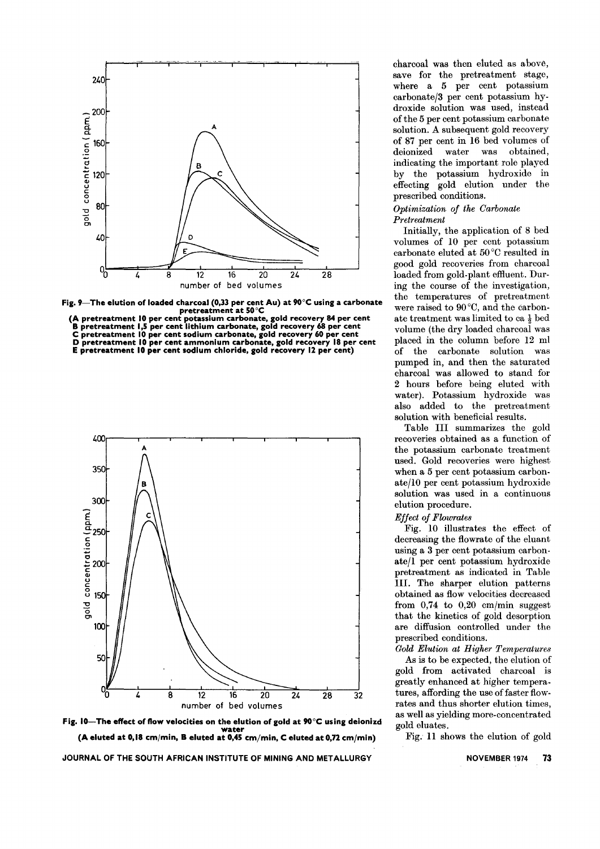

Fig. 9- The elution of loaded charcoal (0,33 per cent Au) at 90 $^{\circ}$ C using a carbonate pretreatment at 50°C

(A pretreatment 10 per cent potassium carbonate, gold recovery 84 per cen **B** pretreatment 1,5 per cent lithium carbonate, gold recovery 68 per cen C pretreatment 10 per cent sodium carbonate, gold recovery 60 per cent D pretreatment 10 per cent ammonium carbonate, gold recovery 18 per cent E pretreatment 10 per cent sodium chloride, gold recovery 12 per cent)





JOURNAL OF THE SOUTH AFRICAN INSTITUTE OF MINING AND METALLURGY

charcoal was then eluted as above, save for the pretreatment stage, where a 5 per cent potassium carbonate/3 per cent potassium hydroxide solution was used, instead of the 5 per cent potassium carbonate solution. A subsequent gold recovery of 87 per cent in 16 bed volumes of deionized water was obtained, indicating the important role played by the potassium hydroxide in effecting gold elution under the prescribed conditions.

## *Optimization of the Carbonate Pretreatment*

Initially, the application of 8 bed volumes of 10 per cent potassium carbonate eluted at 50 °C resulted in good gold recoveries from charcoal loaded from gold-plant effluent. During the course of the investigation, the temperatures of pretreatment were raised to 90 °C, and the carbonate treatment was limited to ca  $\frac{1}{2}$  bed volume (the dry loaded charcoal was placed in the column before 12 ml of the carbonate solution was pumped in, and then the saturated charcoal was allowed to stand for 2 hours before being eluted with water). Potassium hydroxide was also added to the pretreatment solution with beneficial results.

Table III summarizes the gold recoveries obtained as a function of the potassium carbonate treatment used. Gold recoveries were highest when a 5 per cent potassium carbonate/IO per cent potassium hydroxide solution was used in a continuous elution procedure.

## *Effect of Flowrates*

Fig. 10 illustrates the effect of decreasing the flowrate of the eluant using a 3 per cent potassium carbonate/I per cent potassium hydroxide pretreatment as indicated in Table Ill. The sharper elution patterns obtained as flow velocities decreased from  $0.74$  to  $0.20$  cm/min suggest that the kinetics of gold desorption are diffusion controlled under the prescribed conditions.

*Gold Elution at Higher Temperatures* As is to be expected, the elution of gold from activated charcoal is greatly enhanced at higher temperatures, affording the use of faster flowrates and thus shorter elution times, as well as yielding more-concentrated gold eluates.

Fig. 11 shows the elution of gold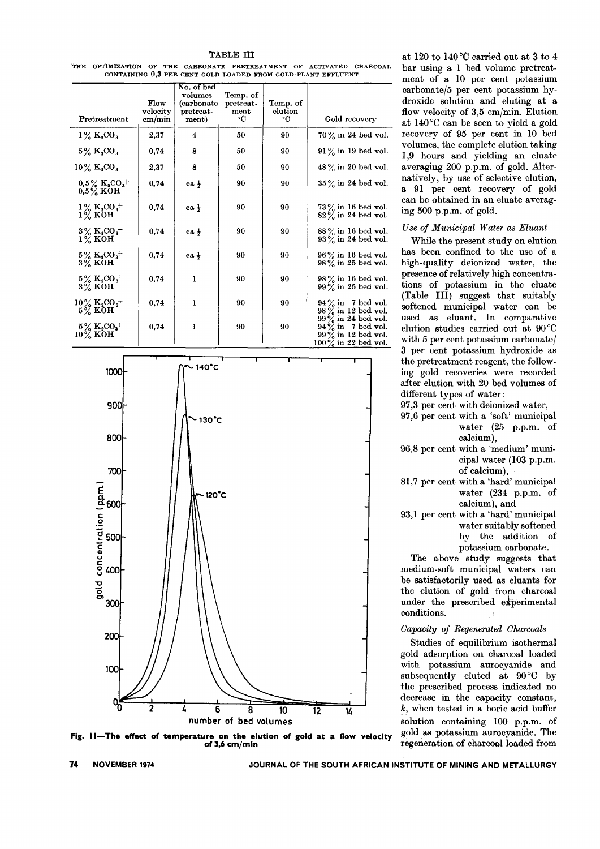THE OPTIMIZATION OF THE CARBONATE PRETREATMENT OF ACTIVATED CHARCOAL CONTAINING 0.3 PER CENT GOLD LOADED FROM GOLD-PLANT EFFLUENT

| Pretreatment                                                   | Flow<br>velocity<br>cm/min | No. of bed<br>volumes<br>(carbonate)<br>pretreat-<br>ment) | Temp. of<br>pretreat-<br>ment<br>۰C | Temp. of<br>elution<br>۰C | Gold recovery                                                                   |
|----------------------------------------------------------------|----------------------------|------------------------------------------------------------|-------------------------------------|---------------------------|---------------------------------------------------------------------------------|
| $1\%$ K <sub>2</sub> CO <sub>3</sub>                           | 2,37                       | 4                                                          | 50                                  | 90                        | 70% in 24 bed vol.                                                              |
| $5\%$ K <sub>2</sub> CO <sub>3</sub>                           | 0,74                       | 8                                                          | 50                                  | 90                        | $91\%$ in 19 bed vol.                                                           |
| $10\%$ K <sub>2</sub> CO <sub>3</sub>                          | 2,37                       | 8                                                          | 50                                  | 90                        | $48\%$ in 20 bed vol.                                                           |
| $0.5\%~{\rm K_{2}CO_{3}}^{+}$<br>$0.5\%$ KOH                   | 0,74                       | ca <sub>1</sub>                                            | 90                                  | 90                        | 35% in 24 bed vol.                                                              |
| $1\%$ K <sub>2</sub> CO <sub>3</sub> <sup>+</sup><br>$1\%$ KOH | 0,74                       | ca <sub>1</sub>                                            | 90                                  | 90                        | $73\%$ in 16 bed vol.<br>$82\frac{6}{6}$ in 24 bed vol.                         |
| $3\%$ K <sub>2</sub> CO <sub>3</sub> <sup>+</sup><br>$1\%$ KOH | 0,74                       | ca <sub>1</sub>                                            | 90                                  | 90                        | 88% in 16 bed vol.<br>$93\%$ in 24 bed vol.                                     |
| $5\%~{\rm K}_{2}{{\rm CO}_{3}}^{+}$<br>$3\%$ KOH               | 0,74                       | ca <sub>1</sub>                                            | 90                                  | 90                        | 96% in 16 bed vol.<br>$98\frac{6}{9}$ in 25 bed vol.                            |
| $5\%~{\rm K}_{2}{\rm CO}_{3}+$<br>3% KOH                       | 0,74                       | ı                                                          | 90                                  | 90                        | 98% in 16 bed vol.<br>$99\%$ in 25 bed vol.                                     |
| $10\,\%~\mathrm{K_{2}CO_{3}^{+}}$<br>5% KOH                    | 0,74                       | $\mathbf{I}$                                               | 90                                  | 90                        | $94\frac{9}{9}$ in 7 bed vol.<br>$98\frac{6}{6}$ in 12 bed vol.                 |
| $5\,\%~\mathrm{K_{2}CO_{3}^{+}}$<br>$10\%$ KOH                 | 0,74                       | ı                                                          | 90                                  | 90                        | $99\%$ in 24 bed vol.<br>$94\%$ in 7 bed vol.<br>$99\frac{6}{6}$ in 12 bed vol. |
|                                                                |                            |                                                            |                                     |                           | $100\%$ in 22 bed vol.                                                          |



Fig. II-The effect of temperature on the elution of gold at a flow velocity of 3,6 cm/min

at 120 to 140°C carried out at 3 to 4 bar using a 1 bed volume pretreatment of a 10 per cent potassium carbonate/5 per cent potassium hydroxide solution and eluting at a flow velocity of 3,5 cm/min. Elution at 140°C can be seen to yield a gold recovery of 95 per cent in 10 bed volumes, the complete elution taking 1,9 hours and yielding an eluate averaging 200 p.p.m. of gold. Alternatively, by use of selective elution, a 91 per cent recovery of gold can be obtained in an eluate averaging  $500$  p.p.m. of gold.

## Use of Municipal Water as Eluant

While the present study on elution has been confined to the use of a high-quality deionized water, the presence of relatively high concentrations of potassium in the eluate (Table III) suggest that suitably softened municipal water can be used as eluant. In comparative elution studies carried out at 90°C with 5 per cent potassium carbonate/ 3 per cent potassium hydroxide as the pretreatment reagent, the following gold recoveries were recorded after elution with 20 bed volumes of different types of water:

- 97,3 per cent with deionized water,
- 97,6 per cent with a 'soft' municipal water  $(25 p.p.m. of)$ calcium),
- 96,8 per cent with a 'medium' municipal water (103 p.p.m. of calcium),
- 81,7 per cent with a 'hard' municipal water (234 p.p.m. of calcium), and
- 93,1 per cent with a 'hard' municipal water suitably softened by the addition of potassium carbonate.

The above study suggests that medium-soft municipal waters can be satisfactorily used as eluants for the elution of gold from charcoal under the prescribed experimental conditions.

## Capacity of Regenerated Charcoals

Studies of equilibrium isothermal gold adsorption on charcoal loaded with potassium aurocyanide and subsequently eluted at  $90^{\circ}$ C by the prescribed process indicated no decrease in the capacity constant,  $k$ , when tested in a boric acid buffer solution containing 100 p.p.m. of gold as potassium aurocyanide. The regeneration of charcoal loaded from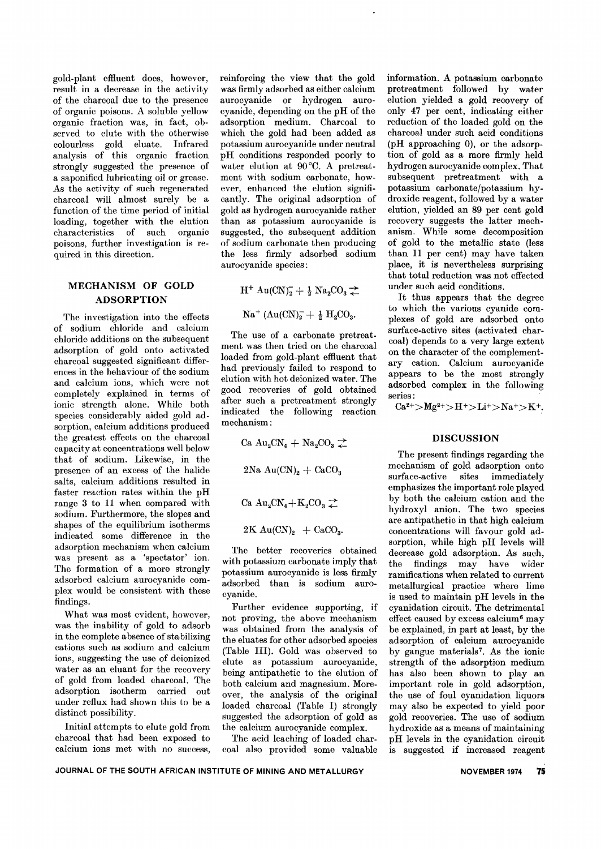gold-plant effiuent does, however, result in a decrease in the activity of the charcoal due to the presence of organic poisons. A soluble yellow organic fraction was, in fact, observed to elute with the otherwise<br>colourless gold eluate. Infrared colourless gold eluate. analysis of this organic fraction strongly suggested the presence of a saponified lubricating oil or grease. As the activity of such regenerated charcoal will almost surely be a function of the time period of initial loading, together with the elution characteristics of such organic poisons, further investigation is required in this direction.

## MECHANISM OF GOLD ADSORPTION

The investigation into the effects of sodium chloride and calcium chloride additions on the subsequent adsorption of gold onto activated charcoal suggested significant differences in the behaviour of the sodium and calcium ions, which were not completely explained in terms of ionic strength alone. While both species considerably aided gold adsorption, calcium additions produced the greatest effects on the charcoal capacity at concentrations well below that of sodium. Likewise, in the presence of an excess of the halide salts, calcium additions resulted in faster reaction rates within the pH range 3 to 11 when compared with sodium. Furthermore, the slopes and shapes of the equilibrium isotherms indicated some difference in the adsorption mechanism when calcium was present as a 'spectator' ion. The formation of a more strongly adsorbed calcium aurocyanide complex would be consistent with these findings.

What was most evident, however, was the inability of gold to adsorb in the complete absence of stabilizing cations such as sodium and calcium ions, suggesting the use of deionized water as an eluant for the recovery of gold from loaded charcoal. The adsorption isotherm carried out under reflux had shown this to be a distinct possibility.

Initial attempts to elute gold from charcoal that had been exposed to calcium ions met with no success, reinforcing the view that the gold was firmly adsorbed as either calcium aurocyanide or hydrogen aurocyanide, depending on the pH of the adsorption medium. Charcoal to which the gold had been added as potassium aurocyanide under neutral pH conditions responded poorly to water elution at 90°C. A pretreatment with sodium carbonate, however, enhanced the elution significantly. The original adsorption of gold as hydrogen aurocyanide rather than as potassium aurocyanide is suggested, the subsequent addition of sodium carbonate then producing the less firmly adsorbed sodium aurocyanide species:

$$
H^+ \operatorname{Au(CN)}_2^- + \tfrac{1}{2} \operatorname{Na}_2\!\mathrm{CO}_3 \rightleftarrows
$$

 $\rm Na^+~(Au(CN)^-_2 + \frac{1}{2}~H_2CO_3.$ 

The use of a carbonate pretreatment was then tried on the charcoal loaded from gold-plant effiuent that had previously failed to respond to elution with hot deionized water. The good recoveries of gold obtained after such a pretreatment strongly indicated the following reaction mechanism:

Ca  $Au_2CN_4 + Na_2CO_3 \rightleftarrows$ 

 $2Na \text{ Au(CN)}_2 + CaCO_3$ 

$$
Ca\ Au_2CN_4+K_2CO_3\rightleftarrows
$$

 $2K \text{Au(CN)}_2 + \text{CaCO}_3.$ 

The better recoveries obtained with potassium carbonate imply that potassium aurocyanide is less firmly adsorbed than is sodium aurocyanide.

Further evidence supporting, if not proving, the above mechanism was obtained from the analysis of the eluates for other adsorbed species (Table III). Gold was observed to elute as potassium aurocyanide, being antipathetic to the elution of both calcium and magnesium. Moreover, the analysis of the original loaded charcoal (Table I) strongly suggested the adsorption of gold as the calcium aurocyanide complex.

The acid leaching of loaded charcoal also provided some valuable information. A potassium carbonate pretreatment followed by water elution yielded a gold recovery of only 47 per cent, indicating either reduction of the loaded gold on the charcoal under such acid conditions (pH approaching 0), or the adsorption of gold as a more firmly held hydrogen aurocyanide complex. That subsequent pretreatment with a potassium carbonate/potassium hydroxide reagent, followed by a water elution, yielded an 89 per cent gold recovery suggests the latter mechanism. While some decomposition of gold to the metallic state (less than 11 per cent) may have taken place, it is nevertheless surprising that total reduction was not effected under such acid conditions.

It thus appears that the degree to which the various cyanide complexes of gold are adsorbed onto surface-active sites (activated charcoal) depends to a very large extent on the character of the complementary cation. Calcium aurocyanide appears to be the most strongly adsorbed complex in the following series:

 $Ca^{2+} > Mg^{2+} > H^+ > Li^+ > Na^+ > K^+.$ 

## **DISCUSSION**

The present findings regarding the mechanism of gold adsorption onto surface-active sites immediately emphasizes the important role played by both the calcium cation and the hydroxyl anion. The two species are antipathetic in that high calcium concentrations will favour gold adsorption, while high pH levels will decrease gold adsorption. As such, the findings may have wider ramifications when related to current metallurgical practice where lime is used to maintain pH levels in the cyanidation circuit. The detrimental effect caused by excess calcium<sup>6</sup> may be explained, in part at least, by the adsorption of calcium aurocyanide by gangue materials<sup>7</sup>. As the ionic strength of the adsorption medium has also been shown to play an important role in gold adsorption, the use of foul cyanidation liquors may also be expected to yield poor gold recoveries. The use of sodium hydroxide as a means of maintaining pH levels in the cyanidation circuit is suggested if increased reagent